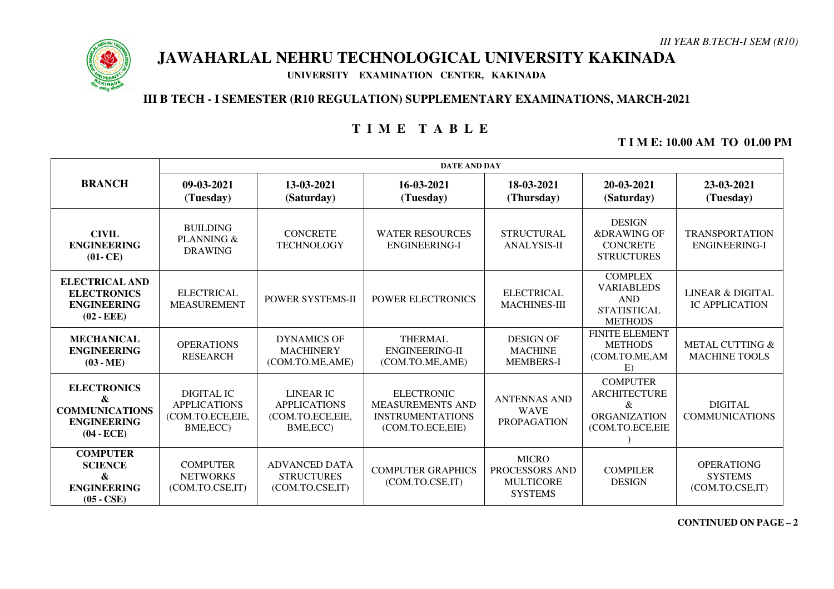

# **JAWAHARLAL NEHRU TECHNOLOGICAL UNIVERSITY KAKINADA**

**UNIVERSITY EXAMINATION CENTER, KAKINADA** 

### **III B TECH - I SEMESTER (R10 REGULATION) SUPPLEMENTARY EXAMINATIONS, MARCH-2021**

## **T I M E T A B L E**

### **T I M E: 10.00 AM TO 01.00 PM**

|                                                                                        | <b>DATE AND DAY</b>                                                |                                                                           |                                                                                             |                                                                      |                                                                                           |                                                        |  |
|----------------------------------------------------------------------------------------|--------------------------------------------------------------------|---------------------------------------------------------------------------|---------------------------------------------------------------------------------------------|----------------------------------------------------------------------|-------------------------------------------------------------------------------------------|--------------------------------------------------------|--|
| <b>BRANCH</b>                                                                          | 09-03-2021<br>(Tuesday)                                            | 13-03-2021<br>(Saturday)                                                  | 16-03-2021<br>(Tuesday)                                                                     | 18-03-2021<br>(Thursday)                                             | 20-03-2021<br>(Saturday)                                                                  | 23-03-2021<br>(Tuesday)                                |  |
| <b>CIVIL</b><br><b>ENGINEERING</b><br>$(01-CE)$                                        | <b>BUILDING</b><br>PLANNING &<br><b>DRAWING</b>                    | <b>CONCRETE</b><br><b>TECHNOLOGY</b>                                      | <b>WATER RESOURCES</b><br><b>ENGINEERING-I</b>                                              | <b>STRUCTURAL</b><br><b>ANALYSIS-II</b>                              | <b>DESIGN</b><br>&DRAWING OF<br><b>CONCRETE</b><br><b>STRUCTURES</b>                      | <b>TRANSPORTATION</b><br><b>ENGINEERING-I</b>          |  |
| <b>ELECTRICAL AND</b><br><b>ELECTRONICS</b><br><b>ENGINEERING</b><br>$(02 - EEE)$      | <b>ELECTRICAL</b><br><b>MEASUREMENT</b>                            | <b>POWER SYSTEMS-II</b>                                                   | <b>POWER ELECTRONICS</b>                                                                    | <b>ELECTRICAL</b><br><b>MACHINES-III</b>                             | <b>COMPLEX</b><br><b>VARIABLEDS</b><br><b>AND</b><br><b>STATISTICAL</b><br><b>METHODS</b> | <b>LINEAR &amp; DIGITAL</b><br><b>IC APPLICATION</b>   |  |
| <b>MECHANICAL</b><br><b>ENGINEERING</b><br>$(03 - ME)$                                 | <b>OPERATIONS</b><br><b>RESEARCH</b>                               | <b>DYNAMICS OF</b><br><b>MACHINERY</b><br>(COM.TO.ME, AME)                | <b>THERMAL</b><br>ENGINEERING-II<br>(COM.TO.ME,AME)                                         | <b>DESIGN OF</b><br><b>MACHINE</b><br><b>MEMBERS-I</b>               | <b>FINITE ELEMENT</b><br><b>METHODS</b><br>(COM.TO.ME,AM<br>E)                            | METAL CUTTING &<br><b>MACHINE TOOLS</b>                |  |
| <b>ELECTRONICS</b><br>&<br><b>COMMUNICATIONS</b><br><b>ENGINEERING</b><br>$(04 - ECE)$ | DIGITAL IC<br><b>APPLICATIONS</b><br>(COM.TO.ECE,EIE,<br>BME, ECC) | <b>LINEAR IC</b><br><b>APPLICATIONS</b><br>(COM.TO.ECE, EIE,<br>BME, ECC) | <b>ELECTRONIC</b><br><b>MEASUREMENTS AND</b><br><b>INSTRUMENTATIONS</b><br>(COM.TO.ECE,EIE) | <b>ANTENNAS AND</b><br><b>WAVE</b><br><b>PROPAGATION</b>             | <b>COMPUTER</b><br><b>ARCHITECTURE</b><br>&<br><b>ORGANIZATION</b><br>(COM.TO.ECE,EIE     | <b>DIGITAL</b><br><b>COMMUNICATIONS</b>                |  |
| <b>COMPUTER</b><br><b>SCIENCE</b><br>&<br><b>ENGINEERING</b><br>$(05 - CSE)$           | <b>COMPUTER</b><br><b>NETWORKS</b><br>(COM.TO.CSE,IT)              | <b>ADVANCED DATA</b><br><b>STRUCTURES</b><br>(COM.TO.CSE,IT)              | <b>COMPUTER GRAPHICS</b><br>(COM.TO.CSE,IT)                                                 | <b>MICRO</b><br>PROCESSORS AND<br><b>MULTICORE</b><br><b>SYSTEMS</b> | <b>COMPILER</b><br><b>DESIGN</b>                                                          | <b>OPERATIONG</b><br><b>SYSTEMS</b><br>(COM.TO.CSE,IT) |  |

**CONTINUED ON PAGE –2**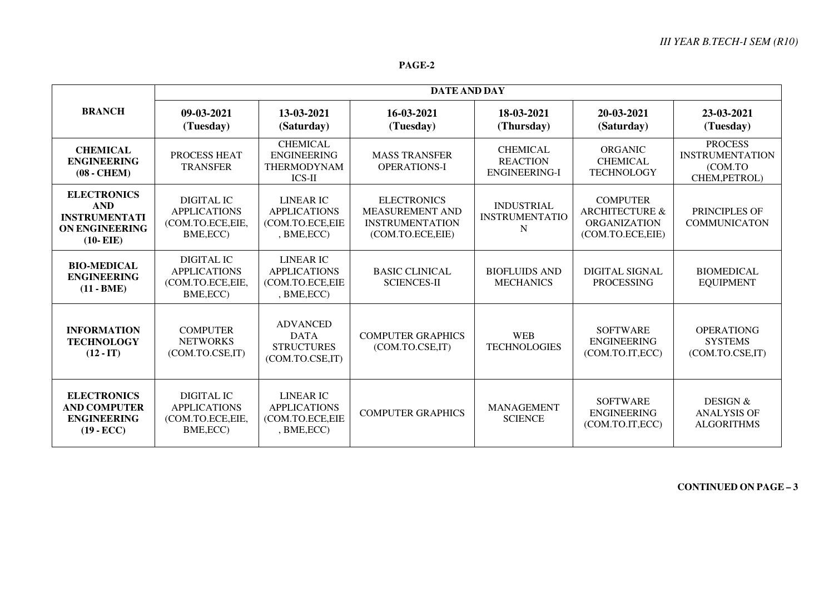#### **PAGE-2**

|                                                                                                  | <b>DATE AND DAY</b>                                                       |                                                                           |                                                                                            |                                                     |                                                                                         |                                                                      |  |
|--------------------------------------------------------------------------------------------------|---------------------------------------------------------------------------|---------------------------------------------------------------------------|--------------------------------------------------------------------------------------------|-----------------------------------------------------|-----------------------------------------------------------------------------------------|----------------------------------------------------------------------|--|
| <b>BRANCH</b>                                                                                    | 09-03-2021<br>(Tuesday)                                                   | 13-03-2021<br>(Saturday)                                                  | 16-03-2021<br>(Tuesday)                                                                    | 18-03-2021<br>(Thursday)                            | 20-03-2021<br>(Saturday)                                                                | 23-03-2021<br>(Tuesday)                                              |  |
| <b>CHEMICAL</b><br><b>ENGINEERING</b><br>$(08 - CHEM)$                                           | PROCESS HEAT<br><b>TRANSFER</b>                                           | <b>CHEMICAL</b><br><b>ENGINEERING</b><br>THERMODYNAM<br>ICS-II            | <b>MASS TRANSFER</b><br><b>OPERATIONS-I</b>                                                | <b>CHEMICAL</b><br><b>REACTION</b><br>ENGINEERING-I | <b>ORGANIC</b><br><b>CHEMICAL</b><br><b>TECHNOLOGY</b>                                  | <b>PROCESS</b><br><b>INSTRUMENTATION</b><br>(COM.TO<br>CHEM, PETROL) |  |
| <b>ELECTRONICS</b><br><b>AND</b><br><b>INSTRUMENTATI</b><br><b>ON ENGINEERING</b><br>$(10- EIE)$ | <b>DIGITAL IC</b><br><b>APPLICATIONS</b><br>(COM.TO.ECE,EIE,<br>BME, ECC) | <b>LINEAR IC</b><br><b>APPLICATIONS</b><br>(COM.TO.ECE,EIE<br>, BME, ECC) | <b>ELECTRONICS</b><br><b>MEASUREMENT AND</b><br><b>INSTRUMENTATION</b><br>(COM.TO.ECE,EIE) | <b>INDUSTRIAL</b><br><b>INSTRUMENTATIO</b><br>N     | <b>COMPUTER</b><br><b>ARCHITECTURE &amp;</b><br><b>ORGANIZATION</b><br>(COM.TO.ECE,EIE) | PRINCIPLES OF<br><b>COMMUNICATON</b>                                 |  |
| <b>BIO-MEDICAL</b><br><b>ENGINEERING</b><br>$(11 - BME)$                                         | DIGITAL IC<br><b>APPLICATIONS</b><br>(COM.TO.ECE,EIE,<br>BME, ECC)        | <b>LINEAR IC</b><br><b>APPLICATIONS</b><br>(COM.TO.ECE, EIE<br>,BME, ECC) | <b>BASIC CLINICAL</b><br><b>SCIENCES-II</b>                                                | <b>BIOFLUIDS AND</b><br><b>MECHANICS</b>            | <b>DIGITAL SIGNAL</b><br><b>PROCESSING</b>                                              | <b>BIOMEDICAL</b><br><b>EQUIPMENT</b>                                |  |
| <b>INFORMATION</b><br><b>TECHNOLOGY</b><br>$(12 - IT)$                                           | <b>COMPUTER</b><br><b>NETWORKS</b><br>(COM.TO.CSE,IT)                     | <b>ADVANCED</b><br><b>DATA</b><br><b>STRUCTURES</b><br>(COM.TO.CSE,IT)    | <b>COMPUTER GRAPHICS</b><br>(COM.TO.CSE,IT)                                                | <b>WEB</b><br><b>TECHNOLOGIES</b>                   | <b>SOFTWARE</b><br><b>ENGINEERING</b><br>(COM.TO.IT, ECC)                               | <b>OPERATIONG</b><br><b>SYSTEMS</b><br>(COM.TO.CSE,IT)               |  |
| <b>ELECTRONICS</b><br><b>AND COMPUTER</b><br><b>ENGINEERING</b><br>$(19 - ECC)$                  | DIGITAL IC<br><b>APPLICATIONS</b><br>(COM.TO.ECE,EIE,<br>BME, ECC)        | <b>LINEAR IC</b><br><b>APPLICATIONS</b><br>(COM.TO.ECE, EIE<br>,BME, ECC) | <b>COMPUTER GRAPHICS</b>                                                                   | <b>MANAGEMENT</b><br><b>SCIENCE</b>                 | <b>SOFTWARE</b><br><b>ENGINEERING</b><br>(COM.TO.IT, ECC)                               | DESIGN &<br><b>ANALYSIS OF</b><br><b>ALGORITHMS</b>                  |  |

**CONTINUED ON PAGE – <sup>3</sup>**